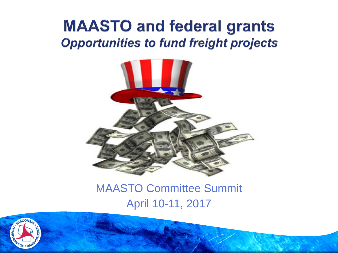# **MAASTO and federal grants Opportunities to fund freight projects**



## MAASTO Committee Summit April 10-11, 2017

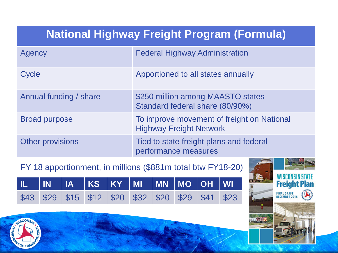# **National Highway Freight Program (Formula)**

| Agency                 | <b>Federal Highway Administration</b>                                        |
|------------------------|------------------------------------------------------------------------------|
| Cycle                  | Apportioned to all states annually                                           |
| Annual funding / share | \$250 million among MAASTO states<br>Standard federal share (80/90%)         |
| <b>Broad purpose</b>   | To improve movement of freight on National<br><b>Highway Freight Network</b> |
| Other provisions       | Tied to state freight plans and federal<br>performance measures              |

#### FY 18 apportionment, in millions (\$881m total btw FY18-20)

|  | IL IN IA KS KY MI MN MO OH WI                     |  |  |  |  |
|--|---------------------------------------------------|--|--|--|--|
|  | \$43 \$29 \$15 \$12 \$20 \$32 \$20 \$29 \$41 \$23 |  |  |  |  |



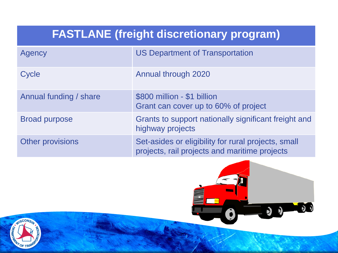# **FASTLANE (freight discretionary program)**

| Agency                 | <b>US Department of Transportation</b>                                                               |
|------------------------|------------------------------------------------------------------------------------------------------|
| Cycle                  | Annual through 2020                                                                                  |
| Annual funding / share | \$800 million - \$1 billion<br>Grant can cover up to 60% of project                                  |
| <b>Broad purpose</b>   | Grants to support nationally significant freight and<br>highway projects                             |
| Other provisions       | Set-asides or eligibility for rural projects, small<br>projects, rail projects and maritime projects |

 $\mathbf{D}$ 

 $\mathfrak{D}$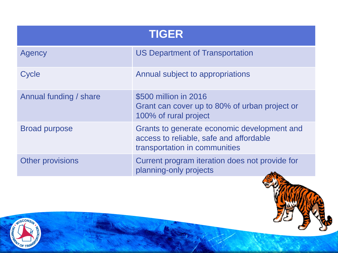| <b>TIGER</b>            |                                                                                                                         |  |
|-------------------------|-------------------------------------------------------------------------------------------------------------------------|--|
| Agency                  | <b>US Department of Transportation</b>                                                                                  |  |
| Cycle                   | Annual subject to appropriations                                                                                        |  |
| Annual funding / share  | \$500 million in 2016<br>Grant can cover up to 80% of urban project or<br>100% of rural project                         |  |
| <b>Broad purpose</b>    | Grants to generate economic development and<br>access to reliable, safe and affordable<br>transportation in communities |  |
| <b>Other provisions</b> | Current program iteration does not provide for<br>planning-only projects                                                |  |



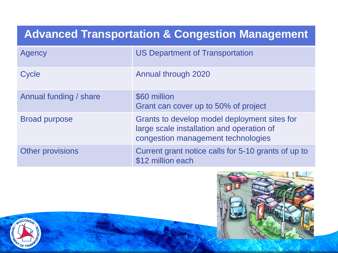# **Advanced Transportation & Congestion Management**

| Agency                 | <b>US Department of Transportation</b>                                                                                          |
|------------------------|---------------------------------------------------------------------------------------------------------------------------------|
| Cycle                  | Annual through 2020                                                                                                             |
| Annual funding / share | \$60 million<br>Grant can cover up to 50% of project                                                                            |
| <b>Broad purpose</b>   | Grants to develop model deployment sites for<br>large scale installation and operation of<br>congestion management technologies |
| Other provisions       | Current grant notice calls for 5-10 grants of up to<br>\$12 million each                                                        |



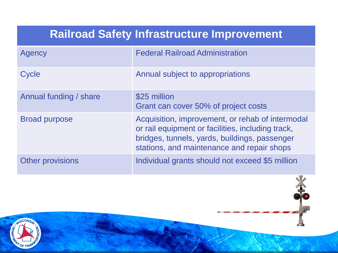#### **Railroad Safety Infrastructure Improvement**

| Agency                  | <b>Federal Railroad Administration</b>                                                                                                                                                               |
|-------------------------|------------------------------------------------------------------------------------------------------------------------------------------------------------------------------------------------------|
| Cycle                   | Annual subject to appropriations                                                                                                                                                                     |
| Annual funding / share  | \$25 million<br>Grant can cover 50% of project costs                                                                                                                                                 |
| <b>Broad purpose</b>    | Acquisition, improvement, or rehab of intermodal<br>or rail equipment or facilities, including track,<br>bridges, tunnels, yards, buildings, passenger<br>stations, and maintenance and repair shops |
| <b>Other provisions</b> | Individual grants should not exceed \$5 million                                                                                                                                                      |

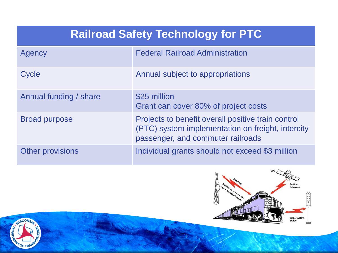# **Railroad Safety Technology for PTC**

| Agency                 | <b>Federal Railroad Administration</b>                                                                                                       |
|------------------------|----------------------------------------------------------------------------------------------------------------------------------------------|
| Cycle                  | Annual subject to appropriations                                                                                                             |
| Annual funding / share | \$25 million<br>Grant can cover 80% of project costs                                                                                         |
| <b>Broad purpose</b>   | Projects to benefit overall positive train control<br>(PTC) system implementation on freight, intercity<br>passenger, and commuter railroads |
| Other provisions       | Individual grants should not exceed \$3 million                                                                                              |